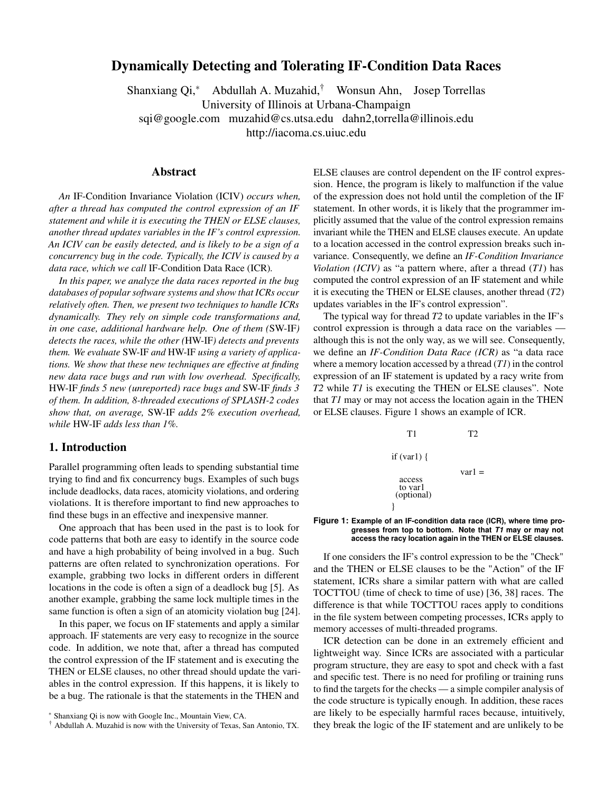# Dynamically Detecting and Tolerating IF-Condition Data Races

Shanxiang Qi,<sup>∗</sup> Abdullah A. Muzahid,† Wonsun Ahn, Josep Torrellas University of Illinois at Urbana-Champaign sqi@google.com muzahid@cs.utsa.edu dahn2,torrella@illinois.edu http://iacoma.cs.uiuc.edu

## Abstract

*An* IF-Condition Invariance Violation (ICIV) *occurs when, after a thread has computed the control expression of an IF statement and while it is executing the THEN or ELSE clauses, another thread updates variables in the IF's control expression. An ICIV can be easily detected, and is likely to be a sign of a concurrency bug in the code. Typically, the ICIV is caused by a data race, which we call* IF-Condition Data Race (ICR)*.*

*In this paper, we analyze the data races reported in the bug databases of popular software systems and show that ICRs occur relatively often. Then, we present two techniques to handle ICRs dynamically. They rely on simple code transformations and, in one case, additional hardware help. One of them (*SW-IF*) detects the races, while the other (*HW-IF*) detects and prevents them. We evaluate* SW-IF *and* HW-IF *using a variety of applications. We show that these new techniques are effective at finding new data race bugs and run with low overhead. Specifically,* HW-IF *finds 5 new (unreported) race bugs and* SW-IF *finds 3 of them. In addition, 8-threaded executions of SPLASH-2 codes show that, on average,* SW-IF *adds 2% execution overhead, while* HW-IF *adds less than 1%.*

## 1. Introduction

Parallel programming often leads to spending substantial time trying to find and fix concurrency bugs. Examples of such bugs include deadlocks, data races, atomicity violations, and ordering violations. It is therefore important to find new approaches to find these bugs in an effective and inexpensive manner.

One approach that has been used in the past is to look for code patterns that both are easy to identify in the source code and have a high probability of being involved in a bug. Such patterns are often related to synchronization operations. For example, grabbing two locks in different orders in different locations in the code is often a sign of a deadlock bug [5]. As another example, grabbing the same lock multiple times in the same function is often a sign of an atomicity violation bug [24].

In this paper, we focus on IF statements and apply a similar approach. IF statements are very easy to recognize in the source code. In addition, we note that, after a thread has computed the control expression of the IF statement and is executing the THEN or ELSE clauses, no other thread should update the variables in the control expression. If this happens, it is likely to be a bug. The rationale is that the statements in the THEN and

ELSE clauses are control dependent on the IF control expression. Hence, the program is likely to malfunction if the value of the expression does not hold until the completion of the IF statement. In other words, it is likely that the programmer implicitly assumed that the value of the control expression remains invariant while the THEN and ELSE clauses execute. An update to a location accessed in the control expression breaks such invariance. Consequently, we define an *IF-Condition Invariance Violation (ICIV)* as "a pattern where, after a thread (*T1*) has computed the control expression of an IF statement and while it is executing the THEN or ELSE clauses, another thread (*T2*) updates variables in the IF's control expression".

The typical way for thread *T2* to update variables in the IF's control expression is through a data race on the variables although this is not the only way, as we will see. Consequently, we define an *IF-Condition Data Race (ICR)* as "a data race where a memory location accessed by a thread (*T1*) in the control expression of an IF statement is updated by a racy write from *T2* while *T1* is executing the THEN or ELSE clauses". Note that *T1* may or may not access the location again in the THEN or ELSE clauses. Figure 1 shows an example of ICR.

| T1                              | T?       |
|---------------------------------|----------|
| if $(var1)$ {                   |          |
| access<br>to var1<br>(optional) | $var1 =$ |

#### **Figure 1: Example of an IF-condition data race (ICR), where time progresses from top to bottom. Note that** *T1* **may or may not access the racy location again in the THEN or ELSE clauses.**

If one considers the IF's control expression to be the "Check" and the THEN or ELSE clauses to be the "Action" of the IF statement, ICRs share a similar pattern with what are called TOCTTOU (time of check to time of use) [36, 38] races. The difference is that while TOCTTOU races apply to conditions in the file system between competing processes, ICRs apply to memory accesses of multi-threaded programs.

ICR detection can be done in an extremely efficient and lightweight way. Since ICRs are associated with a particular program structure, they are easy to spot and check with a fast and specific test. There is no need for profiling or training runs to find the targets for the checks — a simple compiler analysis of the code structure is typically enough. In addition, these races are likely to be especially harmful races because, intuitively, they break the logic of the IF statement and are unlikely to be

<sup>∗</sup> Shanxiang Qi is now with Google Inc., Mountain View, CA.

<sup>†</sup> Abdullah A. Muzahid is now with the University of Texas, San Antonio, TX.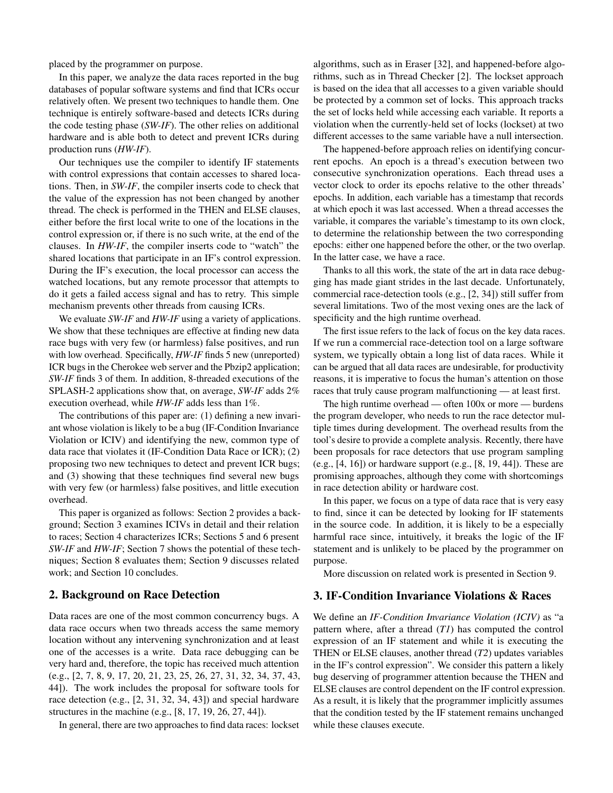placed by the programmer on purpose.

In this paper, we analyze the data races reported in the bug databases of popular software systems and find that ICRs occur relatively often. We present two techniques to handle them. One technique is entirely software-based and detects ICRs during the code testing phase (*SW-IF*). The other relies on additional hardware and is able both to detect and prevent ICRs during production runs (*HW-IF*).

Our techniques use the compiler to identify IF statements with control expressions that contain accesses to shared locations. Then, in *SW-IF*, the compiler inserts code to check that the value of the expression has not been changed by another thread. The check is performed in the THEN and ELSE clauses, either before the first local write to one of the locations in the control expression or, if there is no such write, at the end of the clauses. In *HW-IF*, the compiler inserts code to "watch" the shared locations that participate in an IF's control expression. During the IF's execution, the local processor can access the watched locations, but any remote processor that attempts to do it gets a failed access signal and has to retry. This simple mechanism prevents other threads from causing ICRs.

We evaluate *SW-IF* and *HW-IF* using a variety of applications. We show that these techniques are effective at finding new data race bugs with very few (or harmless) false positives, and run with low overhead. Specifically, *HW-IF* finds 5 new (unreported) ICR bugs in the Cherokee web server and the Pbzip2 application; *SW-IF* finds 3 of them. In addition, 8-threaded executions of the SPLASH-2 applications show that, on average, *SW-IF* adds 2% execution overhead, while *HW-IF* adds less than 1%.

The contributions of this paper are: (1) defining a new invariant whose violation is likely to be a bug (IF-Condition Invariance Violation or ICIV) and identifying the new, common type of data race that violates it (IF-Condition Data Race or ICR); (2) proposing two new techniques to detect and prevent ICR bugs; and (3) showing that these techniques find several new bugs with very few (or harmless) false positives, and little execution overhead.

This paper is organized as follows: Section 2 provides a background; Section 3 examines ICIVs in detail and their relation to races; Section 4 characterizes ICRs; Sections 5 and 6 present *SW-IF* and *HW-IF*; Section 7 shows the potential of these techniques; Section 8 evaluates them; Section 9 discusses related work; and Section 10 concludes.

## 2. Background on Race Detection

Data races are one of the most common concurrency bugs. A data race occurs when two threads access the same memory location without any intervening synchronization and at least one of the accesses is a write. Data race debugging can be very hard and, therefore, the topic has received much attention (e.g., [2, 7, 8, 9, 17, 20, 21, 23, 25, 26, 27, 31, 32, 34, 37, 43, 44]). The work includes the proposal for software tools for race detection (e.g., [2, 31, 32, 34, 43]) and special hardware structures in the machine (e.g., [8, 17, 19, 26, 27, 44]).

In general, there are two approaches to find data races: lockset

algorithms, such as in Eraser [32], and happened-before algorithms, such as in Thread Checker [2]. The lockset approach is based on the idea that all accesses to a given variable should be protected by a common set of locks. This approach tracks the set of locks held while accessing each variable. It reports a violation when the currently-held set of locks (lockset) at two different accesses to the same variable have a null intersection.

The happened-before approach relies on identifying concurrent epochs. An epoch is a thread's execution between two consecutive synchronization operations. Each thread uses a vector clock to order its epochs relative to the other threads' epochs. In addition, each variable has a timestamp that records at which epoch it was last accessed. When a thread accesses the variable, it compares the variable's timestamp to its own clock, to determine the relationship between the two corresponding epochs: either one happened before the other, or the two overlap. In the latter case, we have a race.

Thanks to all this work, the state of the art in data race debugging has made giant strides in the last decade. Unfortunately, commercial race-detection tools (e.g., [2, 34]) still suffer from several limitations. Two of the most vexing ones are the lack of specificity and the high runtime overhead.

The first issue refers to the lack of focus on the key data races. If we run a commercial race-detection tool on a large software system, we typically obtain a long list of data races. While it can be argued that all data races are undesirable, for productivity reasons, it is imperative to focus the human's attention on those races that truly cause program malfunctioning — at least first.

The high runtime overhead — often 100x or more — burdens the program developer, who needs to run the race detector multiple times during development. The overhead results from the tool's desire to provide a complete analysis. Recently, there have been proposals for race detectors that use program sampling (e.g., [4, 16]) or hardware support (e.g., [8, 19, 44]). These are promising approaches, although they come with shortcomings in race detection ability or hardware cost.

In this paper, we focus on a type of data race that is very easy to find, since it can be detected by looking for IF statements in the source code. In addition, it is likely to be a especially harmful race since, intuitively, it breaks the logic of the IF statement and is unlikely to be placed by the programmer on purpose.

More discussion on related work is presented in Section 9.

## 3. IF-Condition Invariance Violations & Races

We define an *IF-Condition Invariance Violation (ICIV)* as "a pattern where, after a thread (*T1*) has computed the control expression of an IF statement and while it is executing the THEN or ELSE clauses, another thread (*T2*) updates variables in the IF's control expression". We consider this pattern a likely bug deserving of programmer attention because the THEN and ELSE clauses are control dependent on the IF control expression. As a result, it is likely that the programmer implicitly assumes that the condition tested by the IF statement remains unchanged while these clauses execute.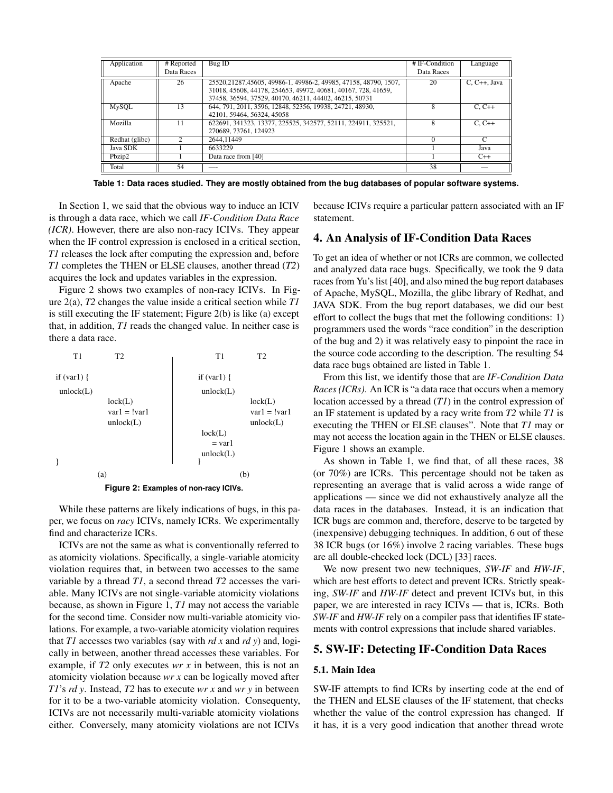| Application    | # Reported<br>Data Races | Bug ID                                                                                                                                                                                       | # IF-Condition<br>Data Races | Language       |
|----------------|--------------------------|----------------------------------------------------------------------------------------------------------------------------------------------------------------------------------------------|------------------------------|----------------|
| Apache         | 26                       | 25520, 21287, 45605, 49986-1, 49986-2, 49985, 47158, 48790, 1507,<br>31018, 45608, 44178, 254653, 49972, 40681, 40167, 728, 41659,<br>37458, 36594, 37529, 40170, 46211, 44402, 46215, 50731 | 20                           | $C, C++, Java$ |
| <b>MySQL</b>   | 13                       | 644, 791, 2011, 3596, 12848, 52356, 19938, 24721, 48930,<br>42101, 59464, 56324, 45058                                                                                                       | 8                            | $C, C++$       |
| Mozilla        | 11                       | 622691, 341323, 13377, 225525, 342577, 52111, 224911, 325521,<br>270689, 73761, 124923                                                                                                       |                              | $C, C++$       |
| Redhat (glibc) | $\mathfrak{D}$           | 2644,11449                                                                                                                                                                                   | $\Omega$                     | $\mathcal{C}$  |
| Java SDK       |                          | 6633229                                                                                                                                                                                      |                              | Java           |
| Pbzip2         |                          | Data race from [40]                                                                                                                                                                          |                              | $C++$          |
| Total          | 54                       |                                                                                                                                                                                              | 38                           |                |

**Table 1: Data races studied. They are mostly obtained from the bug databases of popular software systems.**

In Section 1, we said that the obvious way to induce an ICIV is through a data race, which we call *IF-Condition Data Race (ICR)*. However, there are also non-racy ICIVs. They appear when the IF control expression is enclosed in a critical section, *T1* releases the lock after computing the expression and, before *T1* completes the THEN or ELSE clauses, another thread (*T2*) acquires the lock and updates variables in the expression.

Figure 2 shows two examples of non-racy ICIVs. In Figure 2(a), *T2* changes the value inside a critical section while *T1* is still executing the IF statement; Figure 2(b) is like (a) except that, in addition, *T1* reads the changed value. In neither case is there a data race.



While these patterns are likely indications of bugs, in this paper, we focus on *racy* ICIVs, namely ICRs. We experimentally find and characterize ICRs.

ICIVs are not the same as what is conventionally referred to as atomicity violations. Specifically, a single-variable atomicity violation requires that, in between two accesses to the same variable by a thread *T1*, a second thread *T2* accesses the variable. Many ICIVs are not single-variable atomicity violations because, as shown in Figure 1, *T1* may not access the variable for the second time. Consider now multi-variable atomicity violations. For example, a two-variable atomicity violation requires that *T1* accesses two variables (say with *rd x* and *rd y*) and, logically in between, another thread accesses these variables. For example, if *T2* only executes *wr x* in between, this is not an atomicity violation because *wr x* can be logically moved after *T1*'s *rd y*. Instead, *T2* has to execute *wr x* and *wr y* in between for it to be a two-variable atomicity violation. Consequenty, ICIVs are not necessarily multi-variable atomicity violations either. Conversely, many atomicity violations are not ICIVs

because ICIVs require a particular pattern associated with an IF statement.

## 4. An Analysis of IF-Condition Data Races

To get an idea of whether or not ICRs are common, we collected and analyzed data race bugs. Specifically, we took the 9 data races from Yu's list [40], and also mined the bug report databases of Apache, MySQL, Mozilla, the glibc library of Redhat, and JAVA SDK. From the bug report databases, we did our best effort to collect the bugs that met the following conditions: 1) programmers used the words "race condition" in the description of the bug and 2) it was relatively easy to pinpoint the race in the source code according to the description. The resulting 54 data race bugs obtained are listed in Table 1.

From this list, we identify those that are *IF-Condition Data Races (ICRs)*. An ICR is "a data race that occurs when a memory location accessed by a thread (*T1*) in the control expression of an IF statement is updated by a racy write from *T2* while *T1* is executing the THEN or ELSE clauses". Note that *T1* may or may not access the location again in the THEN or ELSE clauses. Figure 1 shows an example.

As shown in Table 1, we find that, of all these races, 38 (or 70%) are ICRs. This percentage should not be taken as representing an average that is valid across a wide range of applications — since we did not exhaustively analyze all the data races in the databases. Instead, it is an indication that ICR bugs are common and, therefore, deserve to be targeted by (inexpensive) debugging techniques. In addition, 6 out of these 38 ICR bugs (or 16%) involve 2 racing variables. These bugs are all double-checked lock (DCL) [33] races.

We now present two new techniques, *SW-IF* and *HW-IF*, which are best efforts to detect and prevent ICRs. Strictly speaking, *SW-IF* and *HW-IF* detect and prevent ICIVs but, in this paper, we are interested in racy ICIVs — that is, ICRs. Both *SW-IF* and *HW-IF* rely on a compiler pass that identifies IF statements with control expressions that include shared variables.

## 5. SW-IF: Detecting IF-Condition Data Races

#### 5.1. Main Idea

SW-IF attempts to find ICRs by inserting code at the end of the THEN and ELSE clauses of the IF statement, that checks whether the value of the control expression has changed. If it has, it is a very good indication that another thread wrote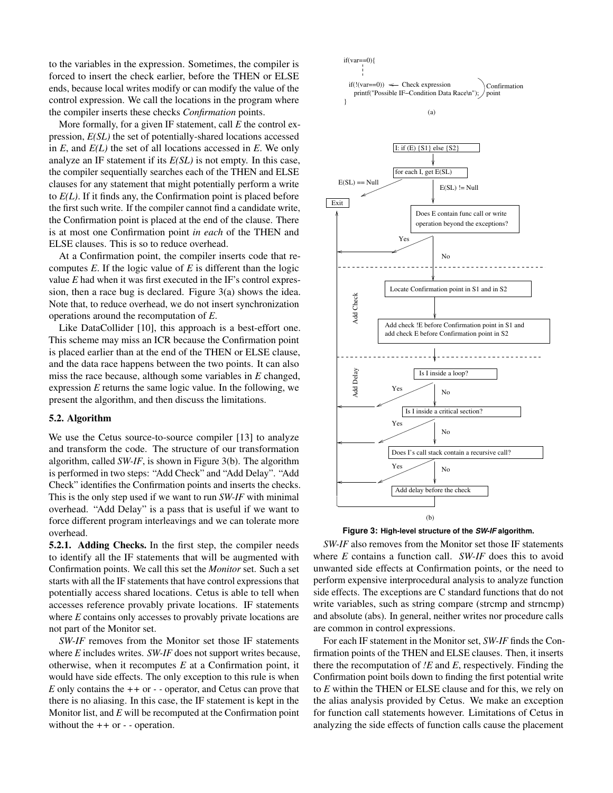to the variables in the expression. Sometimes, the compiler is forced to insert the check earlier, before the THEN or ELSE ends, because local writes modify or can modify the value of the control expression. We call the locations in the program where the compiler inserts these checks *Confirmation* points.

More formally, for a given IF statement, call *E* the control expression, *E(SL)* the set of potentially-shared locations accessed in *E*, and *E(L)* the set of all locations accessed in *E*. We only analyze an IF statement if its *E(SL)* is not empty. In this case, the compiler sequentially searches each of the THEN and ELSE clauses for any statement that might potentially perform a write to *E(L)*. If it finds any, the Confirmation point is placed before the first such write. If the compiler cannot find a candidate write, the Confirmation point is placed at the end of the clause. There is at most one Confirmation point *in each* of the THEN and ELSE clauses. This is so to reduce overhead.

At a Confirmation point, the compiler inserts code that recomputes *E*. If the logic value of *E* is different than the logic value *E* had when it was first executed in the IF's control expression, then a race bug is declared. Figure 3(a) shows the idea. Note that, to reduce overhead, we do not insert synchronization operations around the recomputation of *E*.

Like DataCollider [10], this approach is a best-effort one. This scheme may miss an ICR because the Confirmation point is placed earlier than at the end of the THEN or ELSE clause, and the data race happens between the two points. It can also miss the race because, although some variables in *E* changed, expression *E* returns the same logic value. In the following, we present the algorithm, and then discuss the limitations.

#### 5.2. Algorithm

We use the Cetus source-to-source compiler [13] to analyze and transform the code. The structure of our transformation algorithm, called *SW-IF*, is shown in Figure 3(b). The algorithm is performed in two steps: "Add Check" and "Add Delay". "Add Check" identifies the Confirmation points and inserts the checks. This is the only step used if we want to run *SW-IF* with minimal overhead. "Add Delay" is a pass that is useful if we want to force different program interleavings and we can tolerate more overhead.

5.2.1. Adding Checks. In the first step, the compiler needs to identify all the IF statements that will be augmented with Confirmation points. We call this set the *Monitor* set. Such a set starts with all the IF statements that have control expressions that potentially access shared locations. Cetus is able to tell when accesses reference provably private locations. IF statements where *E* contains only accesses to provably private locations are not part of the Monitor set.

*SW-IF* removes from the Monitor set those IF statements where *E* includes writes. *SW-IF* does not support writes because, otherwise, when it recomputes *E* at a Confirmation point, it would have side effects. The only exception to this rule is when *E* only contains the *++* or *- -* operator, and Cetus can prove that there is no aliasing. In this case, the IF statement is kept in the Monitor list, and *E* will be recomputed at the Confirmation point without the *++* or *- -* operation.



**Figure 3: High-level structure of the** *SW-IF* **algorithm.**

*SW-IF* also removes from the Monitor set those IF statements where *E* contains a function call. *SW-IF* does this to avoid unwanted side effects at Confirmation points, or the need to perform expensive interprocedural analysis to analyze function side effects. The exceptions are C standard functions that do not write variables, such as string compare (strcmp and strncmp) and absolute (abs). In general, neither writes nor procedure calls are common in control expressions.

For each IF statement in the Monitor set, *SW-IF* finds the Confirmation points of the THEN and ELSE clauses. Then, it inserts there the recomputation of *!E* and *E*, respectively. Finding the Confirmation point boils down to finding the first potential write to *E* within the THEN or ELSE clause and for this, we rely on the alias analysis provided by Cetus. We make an exception for function call statements however. Limitations of Cetus in analyzing the side effects of function calls cause the placement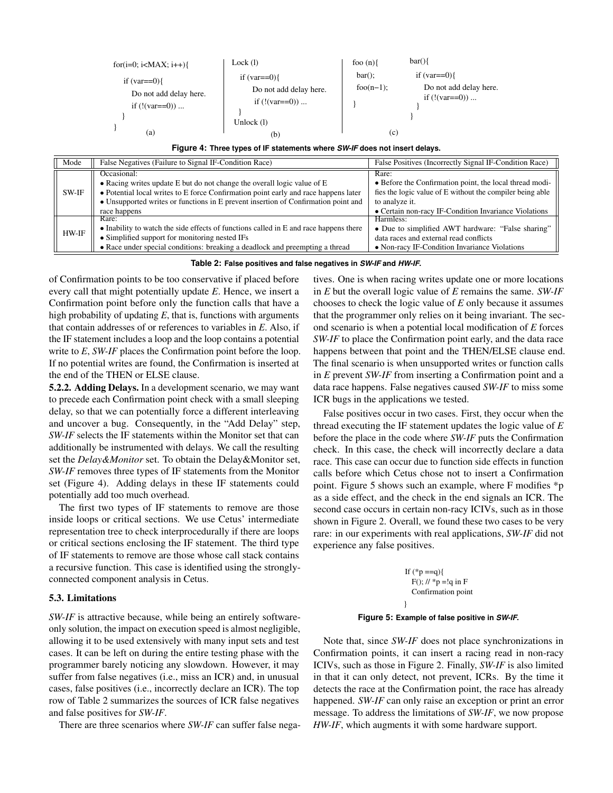| if $\frac{\text{var}}{n} = 0$<br>$bar()$ ;<br>if $\frac{\text{var} = 0}{1}$<br>if $\frac{\text{var}}{n} = 0$<br>foo $(n-1)$ ;<br>Do not add delay here.<br>Do not add delay here.<br>if $(!(var==0))$<br>if $(!(var==0))$<br>if $(!(var==0))$ | for $(i=0; i$ | Lock $(l)$ | foo $(n)$ | bar()                  |
|-----------------------------------------------------------------------------------------------------------------------------------------------------------------------------------------------------------------------------------------------|---------------|------------|-----------|------------------------|
| Unlock (1)<br>(a)<br>(c)<br>(b)                                                                                                                                                                                                               |               |            |           | Do not add delay here. |

**Figure 4: Three types of IF statements where** *SW-IF* **does not insert delays.**

| Mode    | False Negatives (Failure to Signal IF-Condition Race)                                 | False Positives (Incorrectly Signal IF-Condition Race)    |
|---------|---------------------------------------------------------------------------------------|-----------------------------------------------------------|
|         | Occasional:                                                                           | Rare:                                                     |
|         | $\bullet$ Racing writes update E but do not change the overall logic value of E       | • Before the Confirmation point, the local thread modi-   |
| SW-IF   | • Potential local writes to E force Confirmation point early and race happens later   | fies the logic value of E without the compiler being able |
|         | • Unsupported writes or functions in E prevent insertion of Confirmation point and    | to analyze it.                                            |
|         | race happens                                                                          | • Certain non-racy IF-Condition Invariance Violations     |
|         | Rare:                                                                                 | Harmless:                                                 |
| $HW-IF$ | • Inability to watch the side effects of functions called in E and race happens there | • Due to simplified AWT hardware: "False sharing"         |
|         | • Simplified support for monitoring nested IFs                                        | data races and external read conflicts                    |
|         | • Race under special conditions: breaking a deadlock and preempting a thread          | • Non-racy IF-Condition Invariance Violations             |

**Table 2: False positives and false negatives in** *SW-IF* **and** *HW-IF***.**

of Confirmation points to be too conservative if placed before every call that might potentially update *E*. Hence, we insert a Confirmation point before only the function calls that have a high probability of updating *E*, that is, functions with arguments that contain addresses of or references to variables in *E*. Also, if the IF statement includes a loop and the loop contains a potential write to *E*, *SW-IF* places the Confirmation point before the loop. If no potential writes are found, the Confirmation is inserted at the end of the THEN or ELSE clause.

5.2.2. Adding Delays. In a development scenario, we may want to precede each Confirmation point check with a small sleeping delay, so that we can potentially force a different interleaving and uncover a bug. Consequently, in the "Add Delay" step, *SW-IF* selects the IF statements within the Monitor set that can additionally be instrumented with delays. We call the resulting set the *Delay&Monitor* set. To obtain the Delay&Monitor set, *SW-IF* removes three types of IF statements from the Monitor set (Figure 4). Adding delays in these IF statements could potentially add too much overhead.

The first two types of IF statements to remove are those inside loops or critical sections. We use Cetus' intermediate representation tree to check interprocedurally if there are loops or critical sections enclosing the IF statement. The third type of IF statements to remove are those whose call stack contains a recursive function. This case is identified using the stronglyconnected component analysis in Cetus.

### 5.3. Limitations

*SW-IF* is attractive because, while being an entirely softwareonly solution, the impact on execution speed is almost negligible, allowing it to be used extensively with many input sets and test cases. It can be left on during the entire testing phase with the programmer barely noticing any slowdown. However, it may suffer from false negatives (i.e., miss an ICR) and, in unusual cases, false positives (i.e., incorrectly declare an ICR). The top row of Table 2 summarizes the sources of ICR false negatives and false positives for *SW-IF*.

There are three scenarios where *SW-IF* can suffer false nega-

tives. One is when racing writes update one or more locations in *E* but the overall logic value of *E* remains the same. *SW-IF* chooses to check the logic value of *E* only because it assumes that the programmer only relies on it being invariant. The second scenario is when a potential local modification of *E* forces *SW-IF* to place the Confirmation point early, and the data race happens between that point and the THEN/ELSE clause end. The final scenario is when unsupported writes or function calls in *E* prevent *SW-IF* from inserting a Confirmation point and a data race happens. False negatives caused *SW-IF* to miss some ICR bugs in the applications we tested.

False positives occur in two cases. First, they occur when the thread executing the IF statement updates the logic value of *E* before the place in the code where *SW-IF* puts the Confirmation check. In this case, the check will incorrectly declare a data race. This case can occur due to function side effects in function calls before which Cetus chose not to insert a Confirmation point. Figure 5 shows such an example, where F modifies \*p as a side effect, and the check in the end signals an ICR. The second case occurs in certain non-racy ICIVs, such as in those shown in Figure 2. Overall, we found these two cases to be very rare: in our experiments with real applications, *SW-IF* did not experience any false positives.

If 
$$
(^*p == q)
$$
  
\nF(); //  $'p ==!q$  in F  
\nConfirmation point  
\n}

#### **Figure 5: Example of false positive in** *SW-IF***.**

Note that, since *SW-IF* does not place synchronizations in Confirmation points, it can insert a racing read in non-racy ICIVs, such as those in Figure 2. Finally, *SW-IF* is also limited in that it can only detect, not prevent, ICRs. By the time it detects the race at the Confirmation point, the race has already happened. *SW-IF* can only raise an exception or print an error message. To address the limitations of *SW-IF*, we now propose *HW-IF*, which augments it with some hardware support.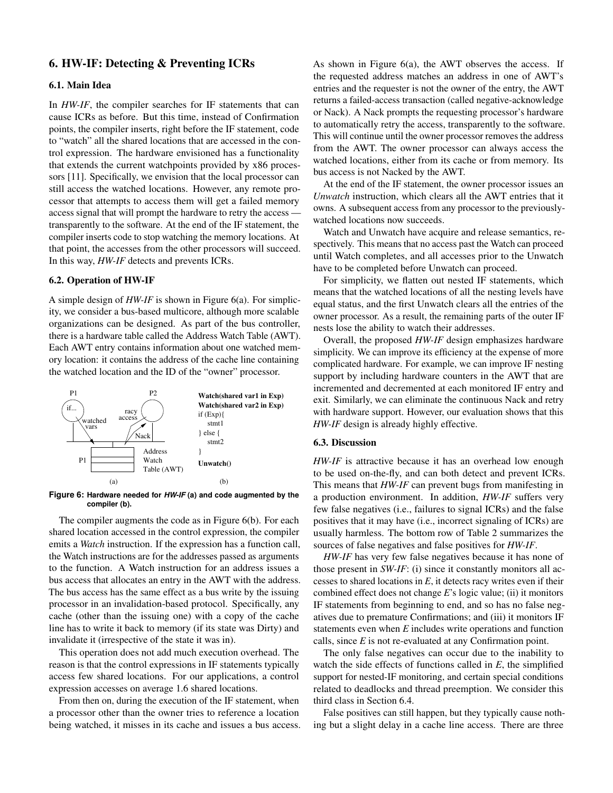## 6. HW-IF: Detecting & Preventing ICRs

## 6.1. Main Idea

In *HW-IF*, the compiler searches for IF statements that can cause ICRs as before. But this time, instead of Confirmation points, the compiler inserts, right before the IF statement, code to "watch" all the shared locations that are accessed in the control expression. The hardware envisioned has a functionality that extends the current watchpoints provided by x86 processors [11]. Specifically, we envision that the local processor can still access the watched locations. However, any remote processor that attempts to access them will get a failed memory access signal that will prompt the hardware to retry the access transparently to the software. At the end of the IF statement, the compiler inserts code to stop watching the memory locations. At that point, the accesses from the other processors will succeed. In this way, *HW-IF* detects and prevents ICRs.

## 6.2. Operation of HW-IF

A simple design of *HW-IF* is shown in Figure 6(a). For simplicity, we consider a bus-based multicore, although more scalable organizations can be designed. As part of the bus controller, there is a hardware table called the Address Watch Table (AWT). Each AWT entry contains information about one watched memory location: it contains the address of the cache line containing the watched location and the ID of the "owner" processor.



**Figure 6: Hardware needed for** *HW-IF* **(a) and code augmented by the compiler (b).**

The compiler augments the code as in Figure 6(b). For each shared location accessed in the control expression, the compiler emits a *Watch* instruction. If the expression has a function call, the Watch instructions are for the addresses passed as arguments to the function. A Watch instruction for an address issues a bus access that allocates an entry in the AWT with the address. The bus access has the same effect as a bus write by the issuing processor in an invalidation-based protocol. Specifically, any cache (other than the issuing one) with a copy of the cache line has to write it back to memory (if its state was Dirty) and invalidate it (irrespective of the state it was in).

This operation does not add much execution overhead. The reason is that the control expressions in IF statements typically access few shared locations. For our applications, a control expression accesses on average 1.6 shared locations.

From then on, during the execution of the IF statement, when a processor other than the owner tries to reference a location being watched, it misses in its cache and issues a bus access. As shown in Figure 6(a), the AWT observes the access. If the requested address matches an address in one of AWT's entries and the requester is not the owner of the entry, the AWT returns a failed-access transaction (called negative-acknowledge or Nack). A Nack prompts the requesting processor's hardware to automatically retry the access, transparently to the software. This will continue until the owner processor removes the address from the AWT. The owner processor can always access the watched locations, either from its cache or from memory. Its bus access is not Nacked by the AWT.

At the end of the IF statement, the owner processor issues an *Unwatch* instruction, which clears all the AWT entries that it owns. A subsequent access from any processor to the previouslywatched locations now succeeds.

Watch and Unwatch have acquire and release semantics, respectively. This means that no access past the Watch can proceed until Watch completes, and all accesses prior to the Unwatch have to be completed before Unwatch can proceed.

For simplicity, we flatten out nested IF statements, which means that the watched locations of all the nesting levels have equal status, and the first Unwatch clears all the entries of the owner processor. As a result, the remaining parts of the outer IF nests lose the ability to watch their addresses.

Overall, the proposed *HW-IF* design emphasizes hardware simplicity. We can improve its efficiency at the expense of more complicated hardware. For example, we can improve IF nesting support by including hardware counters in the AWT that are incremented and decremented at each monitored IF entry and exit. Similarly, we can eliminate the continuous Nack and retry with hardware support. However, our evaluation shows that this *HW-IF* design is already highly effective.

#### 6.3. Discussion

*HW-IF* is attractive because it has an overhead low enough to be used on-the-fly, and can both detect and prevent ICRs. This means that *HW-IF* can prevent bugs from manifesting in a production environment. In addition, *HW-IF* suffers very few false negatives (i.e., failures to signal ICRs) and the false positives that it may have (i.e., incorrect signaling of ICRs) are usually harmless. The bottom row of Table 2 summarizes the sources of false negatives and false positives for *HW-IF*.

*HW-IF* has very few false negatives because it has none of those present in *SW-IF*: (i) since it constantly monitors all accesses to shared locations in *E*, it detects racy writes even if their combined effect does not change *E*'s logic value; (ii) it monitors IF statements from beginning to end, and so has no false negatives due to premature Confirmations; and (iii) it monitors IF statements even when *E* includes write operations and function calls, since *E* is not re-evaluated at any Confirmation point.

The only false negatives can occur due to the inability to watch the side effects of functions called in *E*, the simplified support for nested-IF monitoring, and certain special conditions related to deadlocks and thread preemption. We consider this third class in Section 6.4.

False positives can still happen, but they typically cause nothing but a slight delay in a cache line access. There are three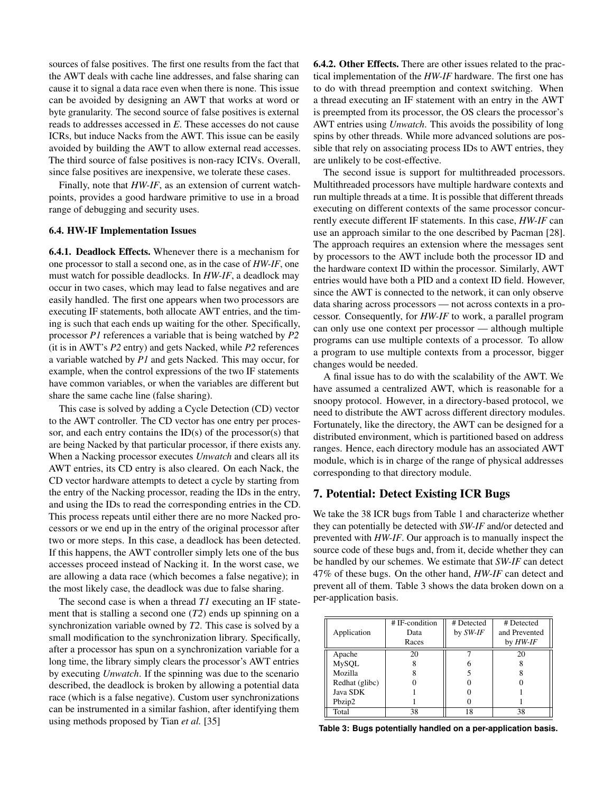sources of false positives. The first one results from the fact that the AWT deals with cache line addresses, and false sharing can cause it to signal a data race even when there is none. This issue can be avoided by designing an AWT that works at word or byte granularity. The second source of false positives is external reads to addresses accessed in *E*. These accesses do not cause ICRs, but induce Nacks from the AWT. This issue can be easily avoided by building the AWT to allow external read accesses. The third source of false positives is non-racy ICIVs. Overall, since false positives are inexpensive, we tolerate these cases.

Finally, note that *HW-IF*, as an extension of current watchpoints, provides a good hardware primitive to use in a broad range of debugging and security uses.

#### 6.4. HW-IF Implementation Issues

6.4.1. Deadlock Effects. Whenever there is a mechanism for one processor to stall a second one, as in the case of *HW-IF*, one must watch for possible deadlocks. In *HW-IF*, a deadlock may occur in two cases, which may lead to false negatives and are easily handled. The first one appears when two processors are executing IF statements, both allocate AWT entries, and the timing is such that each ends up waiting for the other. Specifically, processor *P1* references a variable that is being watched by *P2* (it is in AWT's *P2* entry) and gets Nacked, while *P2* references a variable watched by *P1* and gets Nacked. This may occur, for example, when the control expressions of the two IF statements have common variables, or when the variables are different but share the same cache line (false sharing).

This case is solved by adding a Cycle Detection (CD) vector to the AWT controller. The CD vector has one entry per processor, and each entry contains the ID(s) of the processor(s) that are being Nacked by that particular processor, if there exists any. When a Nacking processor executes *Unwatch* and clears all its AWT entries, its CD entry is also cleared. On each Nack, the CD vector hardware attempts to detect a cycle by starting from the entry of the Nacking processor, reading the IDs in the entry, and using the IDs to read the corresponding entries in the CD. This process repeats until either there are no more Nacked processors or we end up in the entry of the original processor after two or more steps. In this case, a deadlock has been detected. If this happens, the AWT controller simply lets one of the bus accesses proceed instead of Nacking it. In the worst case, we are allowing a data race (which becomes a false negative); in the most likely case, the deadlock was due to false sharing.

The second case is when a thread *T1* executing an IF statement that is stalling a second one (*T2*) ends up spinning on a synchronization variable owned by *T2*. This case is solved by a small modification to the synchronization library. Specifically, after a processor has spun on a synchronization variable for a long time, the library simply clears the processor's AWT entries by executing *Unwatch*. If the spinning was due to the scenario described, the deadlock is broken by allowing a potential data race (which is a false negative). Custom user synchronizations can be instrumented in a similar fashion, after identifying them using methods proposed by Tian *et al.* [35]

6.4.2. Other Effects. There are other issues related to the practical implementation of the *HW-IF* hardware. The first one has to do with thread preemption and context switching. When a thread executing an IF statement with an entry in the AWT is preempted from its processor, the OS clears the processor's AWT entries using *Unwatch*. This avoids the possibility of long spins by other threads. While more advanced solutions are possible that rely on associating process IDs to AWT entries, they are unlikely to be cost-effective.

The second issue is support for multithreaded processors. Multithreaded processors have multiple hardware contexts and run multiple threads at a time. It is possible that different threads executing on different contexts of the same processor concurrently execute different IF statements. In this case, *HW-IF* can use an approach similar to the one described by Pacman [28]. The approach requires an extension where the messages sent by processors to the AWT include both the processor ID and the hardware context ID within the processor. Similarly, AWT entries would have both a PID and a context ID field. However, since the AWT is connected to the network, it can only observe data sharing across processors — not across contexts in a processor. Consequently, for *HW-IF* to work, a parallel program can only use one context per processor — although multiple programs can use multiple contexts of a processor. To allow a program to use multiple contexts from a processor, bigger changes would be needed.

A final issue has to do with the scalability of the AWT. We have assumed a centralized AWT, which is reasonable for a snoopy protocol. However, in a directory-based protocol, we need to distribute the AWT across different directory modules. Fortunately, like the directory, the AWT can be designed for a distributed environment, which is partitioned based on address ranges. Hence, each directory module has an associated AWT module, which is in charge of the range of physical addresses corresponding to that directory module.

## 7. Potential: Detect Existing ICR Bugs

We take the 38 ICR bugs from Table 1 and characterize whether they can potentially be detected with *SW-IF* and/or detected and prevented with *HW-IF*. Our approach is to manually inspect the source code of these bugs and, from it, decide whether they can be handled by our schemes. We estimate that *SW-IF* can detect 47% of these bugs. On the other hand, *HW-IF* can detect and prevent all of them. Table 3 shows the data broken down on a per-application basis.

| Application    | # IF-condition<br>Data<br>Races | # Detected<br>by $SW-IF$ | # Detected<br>and Prevented<br>by HW-IF |
|----------------|---------------------------------|--------------------------|-----------------------------------------|
| Apache         | 20                              |                          | 20                                      |
| <b>MySQL</b>   |                                 |                          |                                         |
| Mozilla        |                                 |                          |                                         |
| Redhat (glibc) |                                 |                          |                                         |
| Java SDK       |                                 |                          |                                         |
| Pbzip2         |                                 |                          |                                         |
| Total          | 38                              | 18                       | 38                                      |

**Table 3: Bugs potentially handled on a per-application basis.**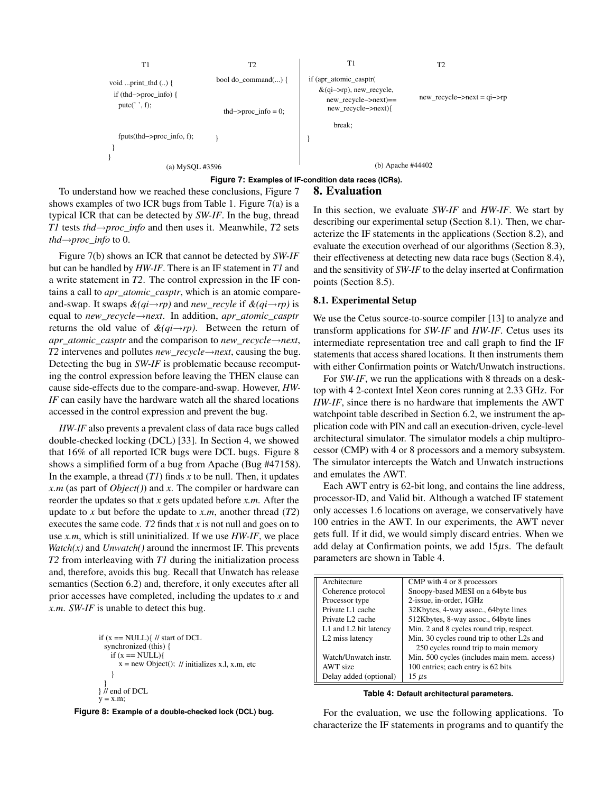



To understand how we reached these conclusions, Figure 7 shows examples of two ICR bugs from Table 1. Figure 7(a) is a typical ICR that can be detected by *SW-IF*. In the bug, thread *T1* tests *thd* $\rightarrow$ *proc\_info* and then uses it. Meanwhile, *T2* sets *thd* $\rightarrow$ *proc\_info* to 0.

Figure 7(b) shows an ICR that cannot be detected by *SW-IF* but can be handled by *HW-IF*. There is an IF statement in *T1* and a write statement in *T2*. The control expression in the IF contains a call to *apr\_atomic\_casptr*, which is an atomic compareand-swap. It swaps  $\&(qi \rightarrow rp)$  and *new* recyle if  $&(qi \rightarrow rp)$  is equal to *new\_recycle*→*next*. In addition, *apr\_atomic\_casptr* returns the old value of  $\&(qi\rightarrow rp)$ . Between the return of *apr\_atomic\_casptr* and the comparison to *new\_recycle*→*next*, *T2* intervenes and pollutes *new\_recycle→next*, causing the bug. Detecting the bug in *SW-IF* is problematic because recomputing the control expression before leaving the THEN clause can cause side-effects due to the compare-and-swap. However, *HW-IF* can easily have the hardware watch all the shared locations accessed in the control expression and prevent the bug.

*HW-IF* also prevents a prevalent class of data race bugs called double-checked locking (DCL) [33]. In Section 4, we showed that 16% of all reported ICR bugs were DCL bugs. Figure 8 shows a simplified form of a bug from Apache (Bug #47158). In the example, a thread (*T1*) finds *x* to be null. Then, it updates *x.m* (as part of *Object()*) and *x*. The compiler or hardware can reorder the updates so that *x* gets updated before *x.m*. After the update to *x* but before the update to *x.m*, another thread (*T2*) executes the same code. *T2* finds that *x* is not null and goes on to use *x.m*, which is still uninitialized. If we use *HW-IF*, we place *Watch(x)* and *Unwatch()* around the innermost IF. This prevents *T2* from interleaving with *T1* during the initialization process and, therefore, avoids this bug. Recall that Unwatch has release semantics (Section 6.2) and, therefore, it only executes after all prior accesses have completed, including the updates to *x* and *x.m*. *SW-IF* is unable to detect this bug.

```
if (x == NULL)x = new Object(); // initializes x.l, x.m, etc
  }
y = x.m; synchronized (this) {
\} // end of DCL
if (x == NULL) // start of DCL
```
**Figure 8: Example of a double-checked lock (DCL) bug.**

In this section, we evaluate *SW-IF* and *HW-IF*. We start by describing our experimental setup (Section 8.1). Then, we characterize the IF statements in the applications (Section 8.2), and evaluate the execution overhead of our algorithms (Section 8.3), their effectiveness at detecting new data race bugs (Section 8.4), and the sensitivity of *SW-IF* to the delay inserted at Confirmation points (Section 8.5).

#### 8.1. Experimental Setup

We use the Cetus source-to-source compiler [13] to analyze and transform applications for *SW-IF* and *HW-IF*. Cetus uses its intermediate representation tree and call graph to find the IF statements that access shared locations. It then instruments them with either Confirmation points or Watch/Unwatch instructions.

For *SW-IF*, we run the applications with 8 threads on a desktop with 4 2-context Intel Xeon cores running at 2.33 GHz. For *HW-IF*, since there is no hardware that implements the AWT watchpoint table described in Section 6.2, we instrument the application code with PIN and call an execution-driven, cycle-level architectural simulator. The simulator models a chip multiprocessor (CMP) with 4 or 8 processors and a memory subsystem. The simulator intercepts the Watch and Unwatch instructions and emulates the AWT.

Each AWT entry is 62-bit long, and contains the line address, processor-ID, and Valid bit. Although a watched IF statement only accesses 1.6 locations on average, we conservatively have 100 entries in the AWT. In our experiments, the AWT never gets full. If it did, we would simply discard entries. When we add delay at Confirmation points, we add  $15\mu s$ . The default parameters are shown in Table 4.

| Architecture                 | CMP with 4 or 8 processors                  |
|------------------------------|---------------------------------------------|
| Coherence protocol           | Snoopy-based MESI on a 64byte bus           |
| Processor type               | 2-issue, in-order, 1GHz                     |
| Private L1 cache             | 32Kbytes, 4-way assoc., 64byte lines        |
| Private L <sub>2</sub> cache | 512Kbytes, 8-way assoc., 64byte lines       |
| L1 and L2 hit latency        | Min. 2 and 8 cycles round trip, respect.    |
| L <sub>2</sub> miss latency  | Min. 30 cycles round trip to other L2s and  |
|                              | 250 cycles round trip to main memory        |
| Watch/Unwatch instr.         | Min. 500 cycles (includes main mem. access) |
| AWT size                     | 100 entries; each entry is 62 bits          |
| Delay added (optional)       | 15 µs                                       |

**Table 4: Default architectural parameters.**

For the evaluation, we use the following applications. To characterize the IF statements in programs and to quantify the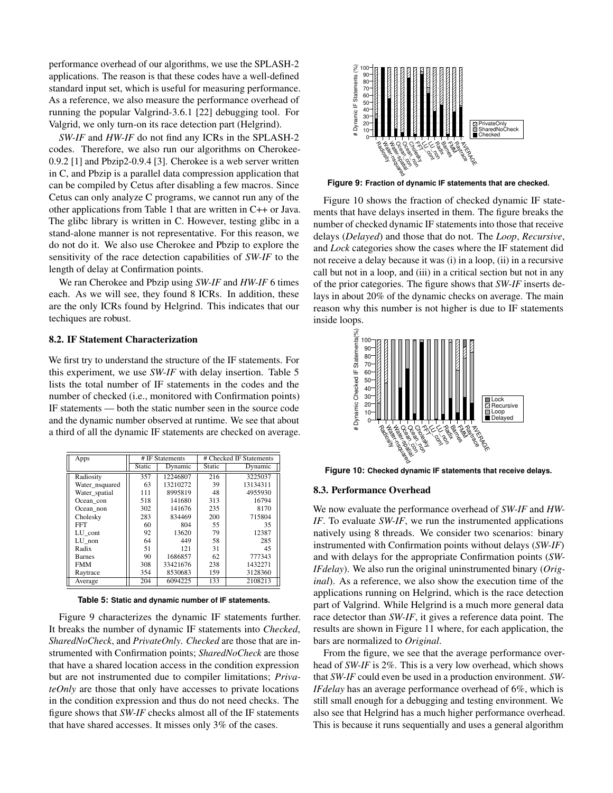performance overhead of our algorithms, we use the SPLASH-2 applications. The reason is that these codes have a well-defined standard input set, which is useful for measuring performance. As a reference, we also measure the performance overhead of running the popular Valgrind-3.6.1 [22] debugging tool. For Valgrid, we only turn-on its race detection part (Helgrind).

*SW-IF* and *HW-IF* do not find any ICRs in the SPLASH-2 codes. Therefore, we also run our algorithms on Cherokee-0.9.2 [1] and Pbzip2-0.9.4 [3]. Cherokee is a web server written in C, and Pbzip is a parallel data compression application that can be compiled by Cetus after disabling a few macros. Since Cetus can only analyze C programs, we cannot run any of the other applications from Table 1 that are written in C++ or Java. The glibc library is written in C. However, testing glibc in a stand-alone manner is not representative. For this reason, we do not do it. We also use Cherokee and Pbzip to explore the sensitivity of the race detection capabilities of *SW-IF* to the length of delay at Confirmation points.

We ran Cherokee and Pbzip using *SW-IF* and *HW-IF* 6 times each. As we will see, they found 8 ICRs. In addition, these are the only ICRs found by Helgrind. This indicates that our techiques are robust.

## 8.2. IF Statement Characterization

We first try to understand the structure of the IF statements. For this experiment, we use *SW-IF* with delay insertion. Table 5 lists the total number of IF statements in the codes and the number of checked (i.e., monitored with Confirmation points) IF statements — both the static number seen in the source code and the dynamic number observed at runtime. We see that about a third of all the dynamic IF statements are checked on average.

| Apps           | $#IF$ Statements |          | # Checked IF Statements |          |
|----------------|------------------|----------|-------------------------|----------|
|                | Static           | Dynamic  | Static                  | Dynamic  |
| Radiosity      | 357              | 12246807 | 216                     | 3225037  |
| Water nsquared | 63               | 13210272 | 39                      | 13134311 |
| Water spatial  | 111              | 8995819  | 48                      | 4955930  |
| Ocean con      | 518              | 141680   | 313                     | 16794    |
| Ocean non      | 302              | 141676   | 235                     | 8170     |
| Cholesky       | 283              | 834469   | 200                     | 715804   |
| FFT            | 60               | 804      | 55                      | 35       |
| LU cont        | 92               | 13620    | 79                      | 12387    |
| LU non         | 64               | 449      | 58                      | 285      |
| Radix          | 51               | 121      | 31                      | 45       |
| <b>Barnes</b>  | 90               | 1686857  | 62                      | 777343   |
| <b>FMM</b>     | 308              | 33421676 | 238                     | 1432271  |
| Raytrace       | 354              | 8530683  | 159                     | 3128360  |
| Average        | 204              | 6094225  | 133                     | 2108213  |

**Table 5: Static and dynamic number of IF statements.**

Figure 9 characterizes the dynamic IF statements further. It breaks the number of dynamic IF statements into *Checked*, *SharedNoCheck*, and *PrivateOnly*. *Checked* are those that are instrumented with Confirmation points; *SharedNoCheck* are those that have a shared location access in the condition expression but are not instrumented due to compiler limitations; *PrivateOnly* are those that only have accesses to private locations in the condition expression and thus do not need checks. The figure shows that *SW-IF* checks almost all of the IF statements that have shared accesses. It misses only 3% of the cases.



**Figure 9: Fraction of dynamic IF statements that are checked.**

Figure 10 shows the fraction of checked dynamic IF statements that have delays inserted in them. The figure breaks the number of checked dynamic IF statements into those that receive delays (*Delayed*) and those that do not. The *Loop*, *Recursive*, and *Lock* categories show the cases where the IF statement did not receive a delay because it was (i) in a loop, (ii) in a recursive call but not in a loop, and (iii) in a critical section but not in any of the prior categories. The figure shows that *SW-IF* inserts delays in about 20% of the dynamic checks on average. The main reason why this number is not higher is due to IF statements inside loops.



**Figure 10: Checked dynamic IF statements that receive delays.**

### 8.3. Performance Overhead

We now evaluate the performance overhead of *SW-IF* and *HW-IF*. To evaluate *SW-IF*, we run the instrumented applications natively using 8 threads. We consider two scenarios: binary instrumented with Confirmation points without delays (*SW-IF*) and with delays for the appropriate Confirmation points (*SW-IFdelay*). We also run the original uninstrumented binary (*Original*). As a reference, we also show the execution time of the applications running on Helgrind, which is the race detection part of Valgrind. While Helgrind is a much more general data race detector than *SW-IF*, it gives a reference data point. The results are shown in Figure 11 where, for each application, the bars are normalized to *Original*.

From the figure, we see that the average performance overhead of *SW-IF* is 2%. This is a very low overhead, which shows that *SW-IF* could even be used in a production environment. *SW-IFdelay* has an average performance overhead of 6%, which is still small enough for a debugging and testing environment. We also see that Helgrind has a much higher performance overhead. This is because it runs sequentially and uses a general algorithm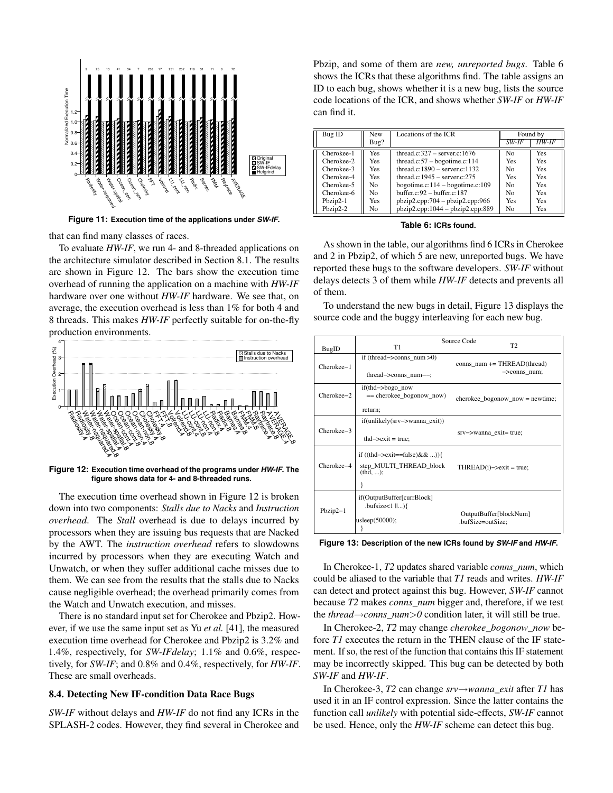

**Figure 11: Execution time of the applications under** *SW-IF***.**

that can find many classes of races.

To evaluate *HW-IF*, we run 4- and 8-threaded applications on the architecture simulator described in Section 8.1. The results are shown in Figure 12. The bars show the execution time overhead of running the application on a machine with *HW-IF* hardware over one without *HW-IF* hardware. We see that, on average, the execution overhead is less than 1% for both 4 and 8 threads. This makes *HW-IF* perfectly suitable for on-the-fly production environments.



**Figure 12: Execution time overhead of the programs under** *HW-IF***. The figure shows data for 4- and 8-threaded runs.**

The execution time overhead shown in Figure 12 is broken down into two components: *Stalls due to Nacks* and *Instruction overhead*. The *Stall* overhead is due to delays incurred by processors when they are issuing bus requests that are Nacked by the AWT. The *instruction overhead* refers to slowdowns incurred by processors when they are executing Watch and Unwatch, or when they suffer additional cache misses due to them. We can see from the results that the stalls due to Nacks cause negligible overhead; the overhead primarily comes from the Watch and Unwatch execution, and misses.

There is no standard input set for Cherokee and Pbzip2. However, if we use the same input set as Yu *et al.* [41], the measured execution time overhead for Cherokee and Pbzip2 is 3.2% and 1.4%, respectively, for *SW-IFdelay*; 1.1% and 0.6%, respectively, for *SW-IF*; and 0.8% and 0.4%, respectively, for *HW-IF*. These are small overheads.

## 8.4. Detecting New IF-condition Data Race Bugs

*SW-IF* without delays and *HW-IF* do not find any ICRs in the SPLASH-2 codes. However, they find several in Cherokee and Pbzip, and some of them are *new, unreported bugs*. Table 6 shows the ICRs that these algorithms find. The table assigns an ID to each bug, shows whether it is a new bug, lists the source code locations of the ICR, and shows whether *SW-IF* or *HW-IF* can find it.

| Bug ID     | <b>New</b> | Locations of the ICR                  |                | Found by |
|------------|------------|---------------------------------------|----------------|----------|
|            | Big?       |                                       | SW-IF          | $HW-IF$  |
| Cherokee-1 | Yes        | thread. $c:327$ – server. $c:1676$    | No             | Yes      |
| Cherokee-2 | Yes        | thread.c: $57 -$ bogotime.c: $114$    | Yes            | Yes      |
| Cherokee-3 | Yes        | thread.c: $1890 -$ server.c: $1132$   | No             | Yes      |
| Cherokee-4 | Yes        | thread.c:1945 – server.c:275          | Yes            | Yes      |
| Cherokee-5 | No         | bogotime.c: $114 -$ bogotime.c: $109$ | No             | Yes      |
| Cherokee-6 | No         | buffer.c: $92 - \text{buffer.c}:187$  | No             | Yes      |
| $Pbzip2-1$ | Yes        | $pbzip2.cpp:704 - pbzip2.cpp:966$     | Yes            | Yes      |
| Pbzip2-2   | No         | $pbzip2.cpp:1044 - pbzip2.cpp:889$    | N <sub>0</sub> | Yes      |

**Table 6: ICRs found.**

As shown in the table, our algorithms find 6 ICRs in Cherokee and 2 in Pbzip2, of which 5 are new, unreported bugs. We have reported these bugs to the software developers. *SW-IF* without delays detects 3 of them while *HW-IF* detects and prevents all of them.

To understand the new bugs in detail, Figure 13 displays the source code and the buggy interleaving for each new bug.

|            | Source Code                                                                   |                                                                     |  |
|------------|-------------------------------------------------------------------------------|---------------------------------------------------------------------|--|
| BugID      | T <sub>1</sub>                                                                | T <sub>2</sub>                                                      |  |
| Cherokee-1 | if (thread->conns $num > 0$ )<br>$thread$ ->conns num --:                     | conns $num += \text{THREAD}(\text{thread})$<br>$-\infty$ conns num; |  |
| Cherokee-2 | $if(thd->bogo now$<br>$==$ cherokee_bogonow_now)<br>return;                   | $cheroke\_bogonow_{now} = new time;$                                |  |
| Cherokee-3 | if(unlikely(srv->wanna exit))<br>$thd$ - $>$ exit = true;                     | $srv$ ->wanna exit= true;                                           |  |
| Cherokee-4 | if $((thd->exit==false)$ && ))<br>step_MULTI_THREAD_block<br>$(thd, \ldots);$ | $THREAD(i) \rightarrow ext = true;$                                 |  |
| $Pbzip2-1$ | if(OutputBuffer[currBlock]<br>.bufsize $<1$ $\ $ ) $\{$<br>$usleep(50000)$ ;  | OutputBuffer[blockNum]<br>.bufSize=outSize:                         |  |

**Figure 13: Description of the new ICRs found by** *SW-IF* **and** *HW-IF***.**

In Cherokee-1, *T2* updates shared variable *conns\_num*, which could be aliased to the variable that *T1* reads and writes. *HW-IF* can detect and protect against this bug. However, *SW-IF* cannot because *T2* makes *conns\_num* bigger and, therefore, if we test the *thread* $\rightarrow$ *conns\_num* $>$ *0* condition later, it will still be true.

In Cherokee-2, *T2* may change *cherokee\_bogonow\_now* before *T1* executes the return in the THEN clause of the IF statement. If so, the rest of the function that contains this IF statement may be incorrectly skipped. This bug can be detected by both *SW-IF* and *HW-IF*.

In Cherokee-3, *T2* can change *srv*→*wanna\_exit* after *T1* has used it in an IF control expression. Since the latter contains the function call *unlikely* with potential side-effects, *SW-IF* cannot be used. Hence, only the *HW-IF* scheme can detect this bug.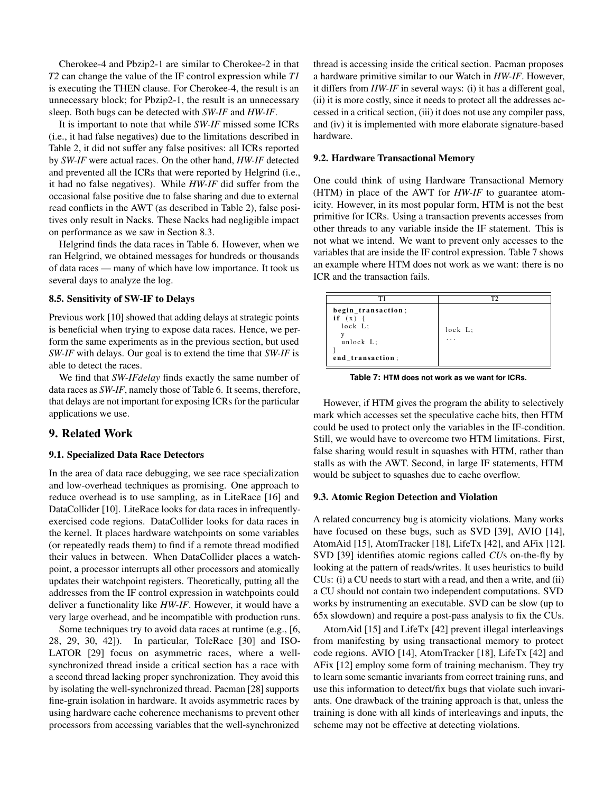Cherokee-4 and Pbzip2-1 are similar to Cherokee-2 in that *T2* can change the value of the IF control expression while *T1* is executing the THEN clause. For Cherokee-4, the result is an unnecessary block; for Pbzip2-1, the result is an unnecessary sleep. Both bugs can be detected with *SW-IF* and *HW-IF*.

It is important to note that while *SW-IF* missed some ICRs (i.e., it had false negatives) due to the limitations described in Table 2, it did not suffer any false positives: all ICRs reported by *SW-IF* were actual races. On the other hand, *HW-IF* detected and prevented all the ICRs that were reported by Helgrind (i.e., it had no false negatives). While *HW-IF* did suffer from the occasional false positive due to false sharing and due to external read conflicts in the AWT (as described in Table 2), false positives only result in Nacks. These Nacks had negligible impact on performance as we saw in Section 8.3.

Helgrind finds the data races in Table 6. However, when we ran Helgrind, we obtained messages for hundreds or thousands of data races — many of which have low importance. It took us several days to analyze the log.

#### 8.5. Sensitivity of SW-IF to Delays

Previous work [10] showed that adding delays at strategic points is beneficial when trying to expose data races. Hence, we perform the same experiments as in the previous section, but used *SW-IF* with delays. Our goal is to extend the time that *SW-IF* is able to detect the races.

We find that *SW-IFdelay* finds exactly the same number of data races as *SW-IF*, namely those of Table 6. It seems, therefore, that delays are not important for exposing ICRs for the particular applications we use.

## 9. Related Work

#### 9.1. Specialized Data Race Detectors

In the area of data race debugging, we see race specialization and low-overhead techniques as promising. One approach to reduce overhead is to use sampling, as in LiteRace [16] and DataCollider [10]. LiteRace looks for data races in infrequentlyexercised code regions. DataCollider looks for data races in the kernel. It places hardware watchpoints on some variables (or repeatedly reads them) to find if a remote thread modified their values in between. When DataCollider places a watchpoint, a processor interrupts all other processors and atomically updates their watchpoint registers. Theoretically, putting all the addresses from the IF control expression in watchpoints could deliver a functionality like *HW-IF*. However, it would have a very large overhead, and be incompatible with production runs.

Some techniques try to avoid data races at runtime (e.g., [6, 28, 29, 30, 42]). In particular, ToleRace [30] and ISO-LATOR [29] focus on asymmetric races, where a wellsynchronized thread inside a critical section has a race with a second thread lacking proper synchronization. They avoid this by isolating the well-synchronized thread. Pacman [28] supports fine-grain isolation in hardware. It avoids asymmetric races by using hardware cache coherence mechanisms to prevent other processors from accessing variables that the well-synchronized

thread is accessing inside the critical section. Pacman proposes a hardware primitive similar to our Watch in *HW-IF*. However, it differs from *HW-IF* in several ways: (i) it has a different goal, (ii) it is more costly, since it needs to protect all the addresses accessed in a critical section, (iii) it does not use any compiler pass, and (iv) it is implemented with more elaborate signature-based hardware.

### 9.2. Hardware Transactional Memory

One could think of using Hardware Transactional Memory (HTM) in place of the AWT for *HW-IF* to guarantee atomicity. However, in its most popular form, HTM is not the best primitive for ICRs. Using a transaction prevents accesses from other threads to any variable inside the IF statement. This is not what we intend. We want to prevent only accesses to the variables that are inside the IF control expression. Table 7 shows an example where HTM does not work as we want: there is no ICR and the transaction fails.

| T1                                                                                    | T <sub>2</sub>  |
|---------------------------------------------------------------------------------------|-----------------|
| begin_transaction;<br>if $(x)$ {<br>$lock$ $L$ ;<br>$unlock$ $L;$<br>end transaction: | $lock L$ ;<br>. |

**Table 7: HTM does not work as we want for ICRs.**

However, if HTM gives the program the ability to selectively mark which accesses set the speculative cache bits, then HTM could be used to protect only the variables in the IF-condition. Still, we would have to overcome two HTM limitations. First, false sharing would result in squashes with HTM, rather than stalls as with the AWT. Second, in large IF statements, HTM would be subject to squashes due to cache overflow.

### 9.3. Atomic Region Detection and Violation

A related concurrency bug is atomicity violations. Many works have focused on these bugs, such as SVD [39], AVIO [14], AtomAid [15], AtomTracker [18], LifeTx [42], and AFix [12]. SVD [39] identifies atomic regions called *CU*s on-the-fly by looking at the pattern of reads/writes. It uses heuristics to build CUs: (i) a CU needs to start with a read, and then a write, and (ii) a CU should not contain two independent computations. SVD works by instrumenting an executable. SVD can be slow (up to 65x slowdown) and require a post-pass analysis to fix the CUs.

AtomAid [15] and LifeTx [42] prevent illegal interleavings from manifesting by using transactional memory to protect code regions. AVIO [14], AtomTracker [18], LifeTx [42] and AFix [12] employ some form of training mechanism. They try to learn some semantic invariants from correct training runs, and use this information to detect/fix bugs that violate such invariants. One drawback of the training approach is that, unless the training is done with all kinds of interleavings and inputs, the scheme may not be effective at detecting violations.